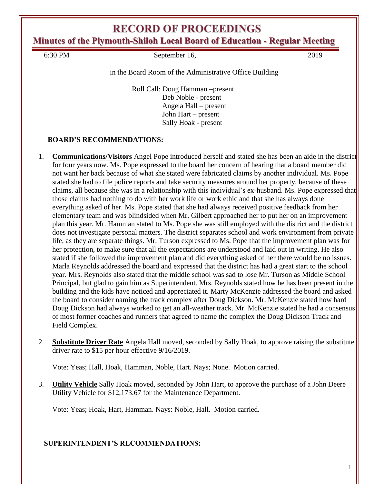**Minutes of the Plymouth-Shiloh Local Board of Education - Regular Meeting**

6:30 PM September 16, 2019

in the Board Room of the Administrative Office Building

Roll Call: Doug Hamman –present Deb Noble - present Angela Hall – present John Hart – present Sally Hoak - present

## **BOARD'S RECOMMENDATIONS:**

- 1. **Communications/Visitors** Angel Pope introduced herself and stated she has been an aide in the district for four years now. Ms. Pope expressed to the board her concern of hearing that a board member did not want her back because of what she stated were fabricated claims by another individual. Ms. Pope stated she had to file police reports and take security measures around her property, because of these claims, all because she was in a relationship with this individual's ex-husband. Ms. Pope expressed that those claims had nothing to do with her work life or work ethic and that she has always done everything asked of her. Ms. Pope stated that she had always received positive feedback from her elementary team and was blindsided when Mr. Gilbert approached her to put her on an improvement plan this year. Mr. Hamman stated to Ms. Pope she was still employed with the district and the district does not investigate personal matters. The district separates school and work environment from private life, as they are separate things. Mr. Turson expressed to Ms. Pope that the improvement plan was for her protection, to make sure that all the expectations are understood and laid out in writing. He also stated if she followed the improvement plan and did everything asked of her there would be no issues. Marla Reynolds addressed the board and expressed that the district has had a great start to the school year. Mrs. Reynolds also stated that the middle school was sad to lose Mr. Turson as Middle School Principal, but glad to gain him as Superintendent. Mrs. Reynolds stated how he has been present in the building and the kids have noticed and appreciated it. Marty McKenzie addressed the board and asked the board to consider naming the track complex after Doug Dickson. Mr. McKenzie stated how hard Doug Dickson had always worked to get an all-weather track. Mr. McKenzie stated he had a consensus of most former coaches and runners that agreed to name the complex the Doug Dickson Track and Field Complex.
- 2. **Substitute Driver Rate** Angela Hall moved, seconded by Sally Hoak, to approve raising the substitute driver rate to \$15 per hour effective 9/16/2019.

Vote: Yeas; Hall, Hoak, Hamman, Noble, Hart. Nays; None. Motion carried.

3. **Utility Vehicle** Sally Hoak moved, seconded by John Hart, to approve the purchase of a John Deere Utility Vehicle for \$12,173.67 for the Maintenance Department.

Vote: Yeas; Hoak, Hart, Hamman. Nays: Noble, Hall. Motion carried.

## **SUPERINTENDENT'S RECOMMENDATIONS:**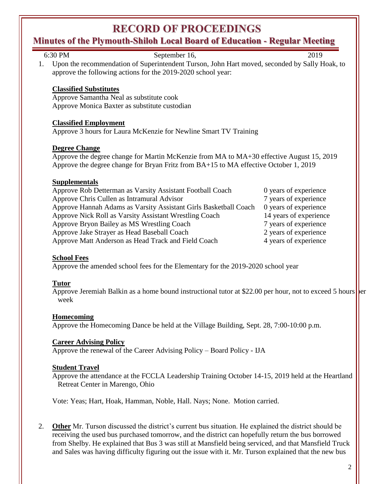## **Minutes of the Plymouth-Shiloh Local Board of Education - Regular Meeting**

| 6:30 PM<br>September 16,                                                                                           | 2019                   |
|--------------------------------------------------------------------------------------------------------------------|------------------------|
| Upon the recommendation of Superintendent Turson, John Hart moved, seconded by Sally Hoak, to<br>1.                |                        |
| approve the following actions for the 2019-2020 school year:                                                       |                        |
|                                                                                                                    |                        |
| <b>Classified Substitutes</b>                                                                                      |                        |
| Approve Samantha Neal as substitute cook                                                                           |                        |
| Approve Monica Baxter as substitute custodian                                                                      |                        |
|                                                                                                                    |                        |
| <b>Classified Employment</b>                                                                                       |                        |
| Approve 3 hours for Laura McKenzie for Newline Smart TV Training                                                   |                        |
|                                                                                                                    |                        |
| <b>Degree Change</b>                                                                                               |                        |
| Approve the degree change for Martin McKenzie from MA to MA+30 effective August 15, 2019                           |                        |
| Approve the degree change for Bryan Fritz from BA+15 to MA effective October 1, 2019                               |                        |
| <b>Supplementals</b>                                                                                               |                        |
| Approve Rob Detterman as Varsity Assistant Football Coach                                                          | 0 years of experience  |
| Approve Chris Cullen as Intramural Advisor                                                                         | 7 years of experience  |
| Approve Hannah Adams as Varsity Assistant Girls Basketball Coach                                                   | 0 years of experience  |
| Approve Nick Roll as Varsity Assistant Wrestling Coach                                                             | 14 years of experience |
| Approve Bryon Bailey as MS Wrestling Coach                                                                         | 7 years of experience  |
| Approve Jake Strayer as Head Baseball Coach                                                                        | 2 years of experience  |
| Approve Matt Anderson as Head Track and Field Coach                                                                | 4 years of experience  |
|                                                                                                                    |                        |
| <b>School Fees</b>                                                                                                 |                        |
| Approve the amended school fees for the Elementary for the 2019-2020 school year                                   |                        |
|                                                                                                                    |                        |
| <b>Tutor</b>                                                                                                       |                        |
| Approve Jeremiah Balkin as a home bound instructional tutor at \$22.00 per hour, not to exceed 5 hours per<br>week |                        |
|                                                                                                                    |                        |

#### **Homecoming**

Approve the Homecoming Dance be held at the Village Building, Sept. 28, 7:00-10:00 p.m.

## **Career Advising Policy**

Approve the renewal of the Career Advising Policy – Board Policy - IJA

## **Student Travel**

Approve the attendance at the FCCLA Leadership Training October 14-15, 2019 held at the Heartland Retreat Center in Marengo, Ohio

Vote: Yeas; Hart, Hoak, Hamman, Noble, Hall. Nays; None. Motion carried.

2. **Other** Mr. Turson discussed the district's current bus situation. He explained the district should be receiving the used bus purchased tomorrow, and the district can hopefully return the bus borrowed from Shelby. He explained that Bus 3 was still at Mansfield being serviced, and that Mansfield Truck and Sales was having difficulty figuring out the issue with it. Mr. Turson explained that the new bus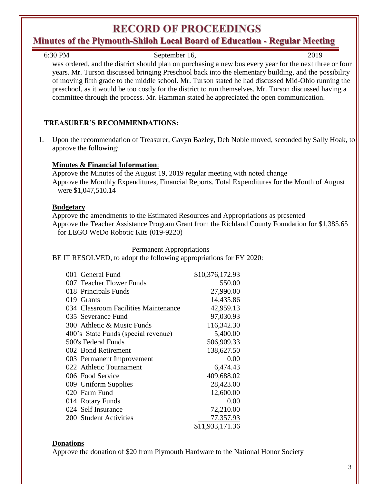## **Minutes of the Plymouth-Shiloh Local Board of Education - Regular Meeting**

6:30 PM September 16, 2019

was ordered, and the district should plan on purchasing a new bus every year for the next three or four years. Mr. Turson discussed bringing Preschool back into the elementary building, and the possibility of moving fifth grade to the middle school. Mr. Turson stated he had discussed Mid-Ohio running the preschool, as it would be too costly for the district to run themselves. Mr. Turson discussed having a committee through the process. Mr. Hamman stated he appreciated the open communication.

## **TREASURER'S RECOMMENDATIONS:**

1. Upon the recommendation of Treasurer, Gavyn Bazley, Deb Noble moved, seconded by Sally Hoak, to approve the following:

#### **Minutes & Financial Information**:

Approve the Minutes of the August 19, 2019 regular meeting with noted change Approve the Monthly Expenditures, Financial Reports. Total Expenditures for the Month of August were \$1,047,510.14

#### **Budgetary**

Approve the amendments to the Estimated Resources and Appropriations as presented Approve the Teacher Assistance Program Grant from the Richland County Foundation for \$1,385.65 for LEGO WeDo Robotic Kits (019-9220)

Permanent Appropriations

BE IT RESOLVED, to adopt the following appropriations for FY 2020:

| 001 General Fund                     | \$10,376,172.93 |
|--------------------------------------|-----------------|
| 007 Teacher Flower Funds             | 550.00          |
| 018 Principals Funds                 | 27,990.00       |
| 019 Grants                           | 14,435.86       |
| 034 Classroom Facilities Maintenance | 42,959.13       |
| 035 Severance Fund                   | 97,030.93       |
| 300 Athletic & Music Funds           | 116,342.30      |
| 400's State Funds (special revenue)  | 5,400.00        |
| 500's Federal Funds                  | 506,909.33      |
| 002 Bond Retirement                  | 138,627.50      |
| 003 Permanent Improvement            | 0.00            |
| 022 Athletic Tournament              | 6,474.43        |
| 006 Food Service                     | 409,688.02      |
| 009 Uniform Supplies                 | 28,423.00       |
| 020 Farm Fund                        | 12,600.00       |
| 014 Rotary Funds                     | 0.00            |
| 024 Self Insurance                   | 72,210.00       |
| 200 Student Activities               | 77,357.93       |
|                                      | \$11,933,171.36 |

## **Donations**

Approve the donation of \$20 from Plymouth Hardware to the National Honor Society